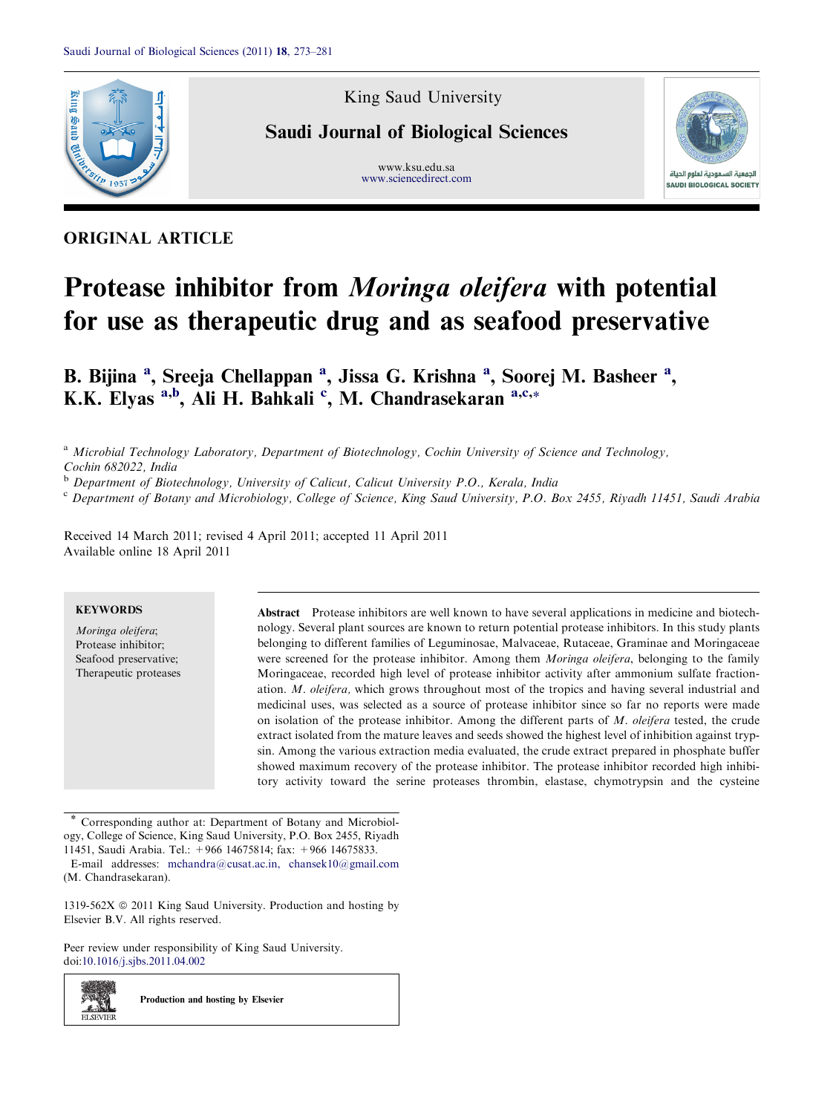

King Saud University

Saudi Journal of Biological Sciences

www.ksu.edu.sa [www.sciencedirect.com](http://www.sciencedirect.com/science/journal/1319562X)



# ORIGINAL ARTICLE

# Protease inhibitor from Moringa oleifera with potential for use as therapeutic drug and as seafood preservative

B. Bijina <sup>a</sup>, Sreeja Chellappan<sup>a</sup>, Jissa G. Krishna <sup>a</sup>, Soorej M. Basheer<sup>a</sup>, K.K. Elyas<sup>a,b</sup>, Ali H. Bahkali<sup>c</sup>, M. Chandrasekaran a,c,\*

<sup>a</sup> Microbial Technology Laboratory, Department of Biotechnology, Cochin University of Science and Technology, Cochin 682022, India

<sup>b</sup> Department of Biotechnology, University of Calicut, Calicut University P.O., Kerala, India

<sup>c</sup> Department of Botany and Microbiology, College of Science, King Saud University, P.O. Box 2455, Riyadh 11451, Saudi Arabia

Received 14 March 2011; revised 4 April 2011; accepted 11 April 2011 Available online 18 April 2011

# **KEYWORDS**

Moringa oleifera; Protease inhibitor; Seafood preservative; Therapeutic proteases

Abstract Protease inhibitors are well known to have several applications in medicine and biotechnology. Several plant sources are known to return potential protease inhibitors. In this study plants belonging to different families of Leguminosae, Malvaceae, Rutaceae, Graminae and Moringaceae were screened for the protease inhibitor. Among them *Moringa oleifera*, belonging to the family Moringaceae, recorded high level of protease inhibitor activity after ammonium sulfate fractionation. M. oleifera, which grows throughout most of the tropics and having several industrial and medicinal uses, was selected as a source of protease inhibitor since so far no reports were made on isolation of the protease inhibitor. Among the different parts of  $M$ . oleifera tested, the crude extract isolated from the mature leaves and seeds showed the highest level of inhibition against trypsin. Among the various extraction media evaluated, the crude extract prepared in phosphate buffer showed maximum recovery of the protease inhibitor. The protease inhibitor recorded high inhibitory activity toward the serine proteases thrombin, elastase, chymotrypsin and the cysteine

Corresponding author at: Department of Botany and Microbiology, College of Science, King Saud University, P.O. Box 2455, Riyadh 11451, Saudi Arabia. Tel.: +966 14675814; fax: +966 14675833. E-mail addresses: [mchandra@cusat.ac.in, chansek10@gmail.com](mailto:<xml_add>mchandra@cusat.ac.in) (M. Chandrasekaran).

1319-562X  $\circledcirc$  2011 King Saud University. Production and hosting by Elsevier B.V. All rights reserved.

Peer review under responsibility of King Saud University. doi[:10.1016/j.sjbs.2011.04.002](http://dx.doi.org/10.1016/j.sjbs.2011.04.002)

2.SI **ELSEVIEE** 

Production and hosting by Elsevier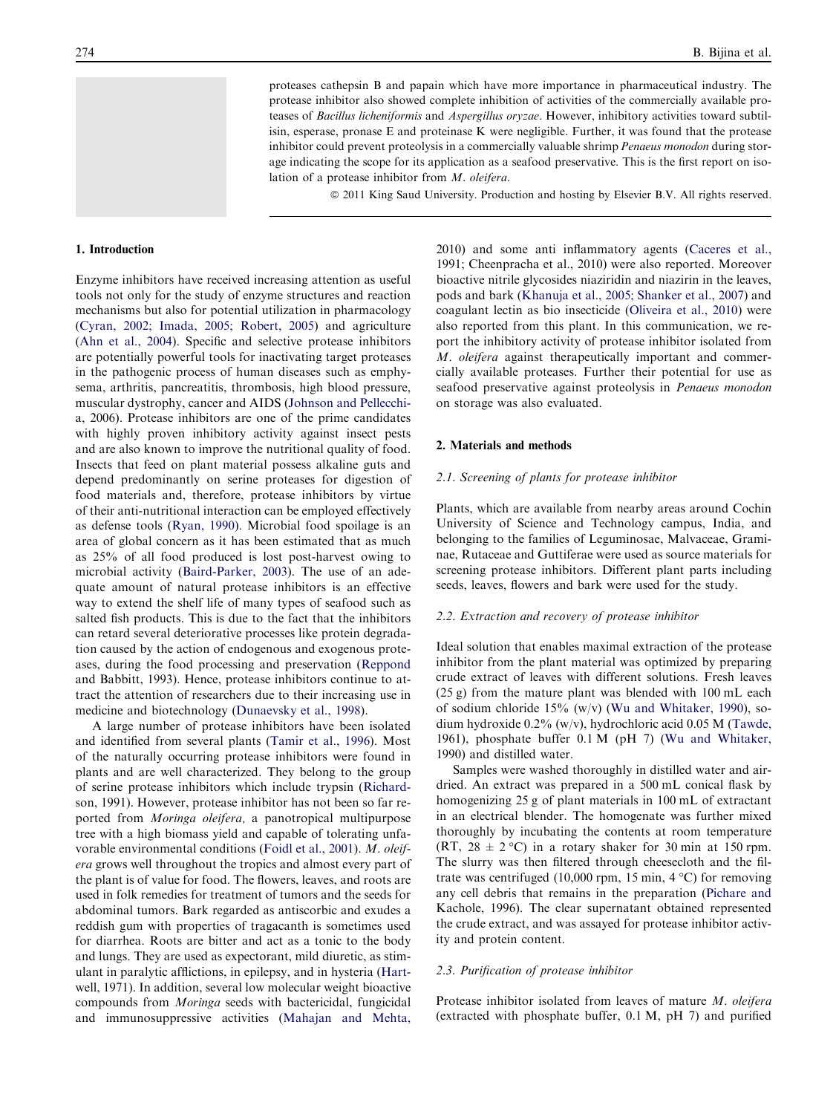proteases cathepsin B and papain which have more importance in pharmaceutical industry. The protease inhibitor also showed complete inhibition of activities of the commercially available proteases of Bacillus licheniformis and Aspergillus oryzae. However, inhibitory activities toward subtilisin, esperase, pronase E and proteinase K were negligible. Further, it was found that the protease inhibitor could prevent proteolysis in a commercially valuable shrimp Penaeus monodon during storage indicating the scope for its application as a seafood preservative. This is the first report on isolation of a protease inhibitor from M. oleifera.

ª 2011 King Saud University. Production and hosting by Elsevier B.V. All rights reserved.

#### 1. Introduction

Enzyme inhibitors have received increasing attention as useful tools not only for the study of enzyme structures and reaction mechanisms but also for potential utilization in pharmacology ([Cyran, 2002; Imada, 2005; Robert, 2005\)](#page-7-0) and agriculture ([Ahn et al., 2004\)](#page-7-0). Specific and selective protease inhibitors are potentially powerful tools for inactivating target proteases in the pathogenic process of human diseases such as emphysema, arthritis, pancreatitis, thrombosis, high blood pressure, muscular dystrophy, cancer and AIDS ([Johnson and Pellecchi](#page-7-0)[a, 2006](#page-7-0)). Protease inhibitors are one of the prime candidates with highly proven inhibitory activity against insect pests and are also known to improve the nutritional quality of food. Insects that feed on plant material possess alkaline guts and depend predominantly on serine proteases for digestion of food materials and, therefore, protease inhibitors by virtue of their anti-nutritional interaction can be employed effectively as defense tools [\(Ryan, 1990](#page-8-0)). Microbial food spoilage is an area of global concern as it has been estimated that as much as 25% of all food produced is lost post-harvest owing to microbial activity [\(Baird-Parker, 2003\)](#page-7-0). The use of an adequate amount of natural protease inhibitors is an effective way to extend the shelf life of many types of seafood such as salted fish products. This is due to the fact that the inhibitors can retard several deteriorative processes like protein degradation caused by the action of endogenous and exogenous proteases, during the food processing and preservation [\(Reppond](#page-8-0) [and Babbitt, 1993](#page-8-0)). Hence, protease inhibitors continue to attract the attention of researchers due to their increasing use in medicine and biotechnology [\(Dunaevsky et al., 1998](#page-7-0)).

A large number of protease inhibitors have been isolated and identified from several plants ([Tamir et al., 1996\)](#page-8-0). Most of the naturally occurring protease inhibitors were found in plants and are well characterized. They belong to the group of serine protease inhibitors which include trypsin ([Richard](#page-8-0)[son, 1991\)](#page-8-0). However, protease inhibitor has not been so far reported from Moringa oleifera, a panotropical multipurpose tree with a high biomass yield and capable of tolerating unfavorable environmental conditions ([Foidl et al., 2001](#page-7-0)). M. oleifera grows well throughout the tropics and almost every part of the plant is of value for food. The flowers, leaves, and roots are used in folk remedies for treatment of tumors and the seeds for abdominal tumors. Bark regarded as antiscorbic and exudes a reddish gum with properties of tragacanth is sometimes used for diarrhea. Roots are bitter and act as a tonic to the body and lungs. They are used as expectorant, mild diuretic, as stimulant in paralytic afflictions, in epilepsy, and in hysteria ([Hart](#page-7-0)[well, 1971\)](#page-7-0). In addition, several low molecular weight bioactive compounds from Moringa seeds with bactericidal, fungicidal and immunosuppressive activities ([Mahajan and Mehta,](#page-8-0)

[2010\)](#page-8-0) and some anti inflammatory agents [\(Caceres et al.,](#page-7-0) [1991; Cheenpracha et al., 2010\)](#page-7-0) were also reported. Moreover bioactive nitrile glycosides niaziridin and niazirin in the leaves, pods and bark ([Khanuja et al., 2005; Shanker et al., 2007](#page-7-0)) and coagulant lectin as bio insecticide ([Oliveira et al., 2010\)](#page-8-0) were also reported from this plant. In this communication, we report the inhibitory activity of protease inhibitor isolated from M. oleifera against therapeutically important and commercially available proteases. Further their potential for use as seafood preservative against proteolysis in Penaeus monodon on storage was also evaluated.

#### 2. Materials and methods

#### 2.1. Screening of plants for protease inhibitor

Plants, which are available from nearby areas around Cochin University of Science and Technology campus, India, and belonging to the families of Leguminosae, Malvaceae, Graminae, Rutaceae and Guttiferae were used as source materials for screening protease inhibitors. Different plant parts including seeds, leaves, flowers and bark were used for the study.

#### 2.2. Extraction and recovery of protease inhibitor

Ideal solution that enables maximal extraction of the protease inhibitor from the plant material was optimized by preparing crude extract of leaves with different solutions. Fresh leaves (25 g) from the mature plant was blended with 100 mL each of sodium chloride 15% (w/v) [\(Wu and Whitaker, 1990\)](#page-8-0), sodium hydroxide 0.2% (w/v), hydrochloric acid 0.05 M ([Tawde,](#page-8-0) [1961\)](#page-8-0), phosphate buffer 0.1 M (pH 7) ([Wu and Whitaker,](#page-8-0) [1990\)](#page-8-0) and distilled water.

Samples were washed thoroughly in distilled water and airdried. An extract was prepared in a 500 mL conical flask by homogenizing 25 g of plant materials in 100 mL of extractant in an electrical blender. The homogenate was further mixed thoroughly by incubating the contents at room temperature (RT,  $28 \pm 2$  °C) in a rotary shaker for 30 min at 150 rpm. The slurry was then filtered through cheesecloth and the filtrate was centrifuged (10,000 rpm, 15 min,  $4 °C$ ) for removing any cell debris that remains in the preparation [\(Pichare and](#page-8-0) [Kachole, 1996](#page-8-0)). The clear supernatant obtained represented the crude extract, and was assayed for protease inhibitor activity and protein content.

#### 2.3. Purification of protease inhibitor

Protease inhibitor isolated from leaves of mature M. oleifera (extracted with phosphate buffer, 0.1 M, pH 7) and purified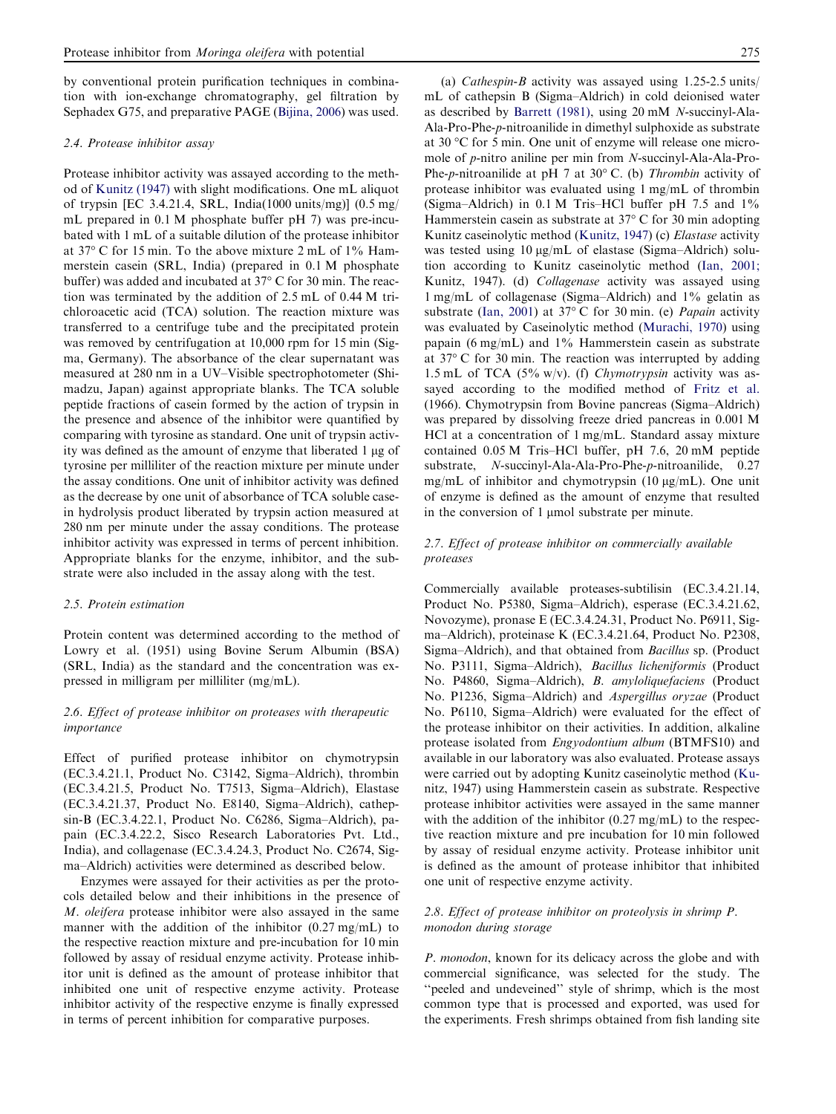by conventional protein purification techniques in combination with ion-exchange chromatography, gel filtration by Sephadex G75, and preparative PAGE ([Bijina, 2006](#page-7-0)) was used.

#### 2.4. Protease inhibitor assay

Protease inhibitor activity was assayed according to the method of [Kunitz \(1947\)](#page-7-0) with slight modifications. One mL aliquot of trypsin [EC 3.4.21.4, SRL, India(1000 units/mg)] (0.5 mg/ mL prepared in 0.1 M phosphate buffer pH 7) was pre-incubated with 1 mL of a suitable dilution of the protease inhibitor at 37° C for 15 min. To the above mixture 2 mL of 1% Hammerstein casein (SRL, India) (prepared in 0.1 M phosphate buffer) was added and incubated at  $37^{\circ}$  C for 30 min. The reaction was terminated by the addition of 2.5 mL of 0.44 M trichloroacetic acid (TCA) solution. The reaction mixture was transferred to a centrifuge tube and the precipitated protein was removed by centrifugation at 10,000 rpm for 15 min (Sigma, Germany). The absorbance of the clear supernatant was measured at 280 nm in a UV–Visible spectrophotometer (Shimadzu, Japan) against appropriate blanks. The TCA soluble peptide fractions of casein formed by the action of trypsin in the presence and absence of the inhibitor were quantified by comparing with tyrosine as standard. One unit of trypsin activity was defined as the amount of enzyme that liberated 1 µg of tyrosine per milliliter of the reaction mixture per minute under the assay conditions. One unit of inhibitor activity was defined as the decrease by one unit of absorbance of TCA soluble casein hydrolysis product liberated by trypsin action measured at 280 nm per minute under the assay conditions. The protease inhibitor activity was expressed in terms of percent inhibition. Appropriate blanks for the enzyme, inhibitor, and the substrate were also included in the assay along with the test.

#### 2.5. Protein estimation

Protein content was determined according to the method of [Lowry et al. \(1951\)](#page-8-0) using Bovine Serum Albumin (BSA) (SRL, India) as the standard and the concentration was expressed in milligram per milliliter (mg/mL).

## 2.6. Effect of protease inhibitor on proteases with therapeutic importance

Effect of purified protease inhibitor on chymotrypsin (EC.3.4.21.1, Product No. C3142, Sigma–Aldrich), thrombin (EC.3.4.21.5, Product No. T7513, Sigma–Aldrich), Elastase (EC.3.4.21.37, Product No. E8140, Sigma–Aldrich), cathepsin-B (EC.3.4.22.1, Product No. C6286, Sigma–Aldrich), papain (EC.3.4.22.2, Sisco Research Laboratories Pvt. Ltd., India), and collagenase (EC.3.4.24.3, Product No. C2674, Sigma–Aldrich) activities were determined as described below.

Enzymes were assayed for their activities as per the protocols detailed below and their inhibitions in the presence of M. oleifera protease inhibitor were also assayed in the same manner with the addition of the inhibitor  $(0.27 \text{ mg/mL})$  to the respective reaction mixture and pre-incubation for 10 min followed by assay of residual enzyme activity. Protease inhibitor unit is defined as the amount of protease inhibitor that inhibited one unit of respective enzyme activity. Protease inhibitor activity of the respective enzyme is finally expressed in terms of percent inhibition for comparative purposes.

(a) Cathespin-B activity was assayed using 1.25-2.5 units/ mL of cathepsin B (Sigma–Aldrich) in cold deionised water as described by [Barrett \(1981\),](#page-7-0) using 20 mM N-succinyl-Ala-Ala-Pro-Phe-p-nitroanilide in dimethyl sulphoxide as substrate at 30  $\degree$ C for 5 min. One unit of enzyme will release one micromole of p-nitro aniline per min from N-succinyl-Ala-Ala-Pro-Phe-p-nitroanilide at pH 7 at 30 $\degree$  C. (b) Thrombin activity of protease inhibitor was evaluated using 1 mg/mL of thrombin (Sigma–Aldrich) in 0.1 M Tris–HCl buffer pH 7.5 and 1% Hammerstein casein as substrate at  $37^{\circ}$  C for 30 min adopting Kunitz caseinolytic method ([Kunitz, 1947](#page-7-0)) (c) Elastase activity was tested using  $10 \mu g/mL$  of elastase (Sigma–Aldrich) solution according to Kunitz caseinolytic method [\(Ian, 2001;](#page-7-0) [Kunitz, 1947\)](#page-7-0). (d) Collagenase activity was assayed using 1 mg/mL of collagenase (Sigma–Aldrich) and 1% gelatin as substrate ([Ian, 2001](#page-7-0)) at 37 $\degree$  C for 30 min. (e) *Papain* activity was evaluated by Caseinolytic method [\(Murachi, 1970\)](#page-8-0) using papain (6 mg/mL) and 1% Hammerstein casein as substrate at  $37^{\circ}$  C for 30 min. The reaction was interrupted by adding 1.5 mL of TCA (5% w/v). (f) Chymotrypsin activity was assayed according to the modified method of [Fritz et al.](#page-7-0) [\(1966\)](#page-7-0). Chymotrypsin from Bovine pancreas (Sigma–Aldrich) was prepared by dissolving freeze dried pancreas in 0.001 M HCl at a concentration of 1 mg/mL. Standard assay mixture contained 0.05 M Tris–HCl buffer, pH 7.6, 20 mM peptide substrate, N-succinyl-Ala-Ala-Pro-Phe-p-nitroanilide, 0.27 mg/mL of inhibitor and chymotrypsin (10  $\mu$ g/mL). One unit of enzyme is defined as the amount of enzyme that resulted in the conversion of  $1 \mu$ mol substrate per minute.

# 2.7. Effect of protease inhibitor on commercially available proteases

Commercially available proteases-subtilisin (EC.3.4.21.14, Product No. P5380, Sigma–Aldrich), esperase (EC.3.4.21.62, Novozyme), pronase E (EC.3.4.24.31, Product No. P6911, Sigma–Aldrich), proteinase K (EC.3.4.21.64, Product No. P2308, Sigma–Aldrich), and that obtained from Bacillus sp. (Product No. P3111, Sigma–Aldrich), Bacillus licheniformis (Product No. P4860, Sigma–Aldrich), B. amyloliquefaciens (Product No. P1236, Sigma–Aldrich) and Aspergillus oryzae (Product No. P6110, Sigma–Aldrich) were evaluated for the effect of the protease inhibitor on their activities. In addition, alkaline protease isolated from Engyodontium album (BTMFS10) and available in our laboratory was also evaluated. Protease assays were carried out by adopting Kunitz caseinolytic method [\(Ku](#page-7-0)[nitz, 1947\)](#page-7-0) using Hammerstein casein as substrate. Respective protease inhibitor activities were assayed in the same manner with the addition of the inhibitor (0.27 mg/mL) to the respective reaction mixture and pre incubation for 10 min followed by assay of residual enzyme activity. Protease inhibitor unit is defined as the amount of protease inhibitor that inhibited one unit of respective enzyme activity.

### 2.8. Effect of protease inhibitor on proteolysis in shrimp P. monodon during storage

P. monodon, known for its delicacy across the globe and with commercial significance, was selected for the study. The "peeled and undeveined" style of shrimp, which is the most common type that is processed and exported, was used for the experiments. Fresh shrimps obtained from fish landing site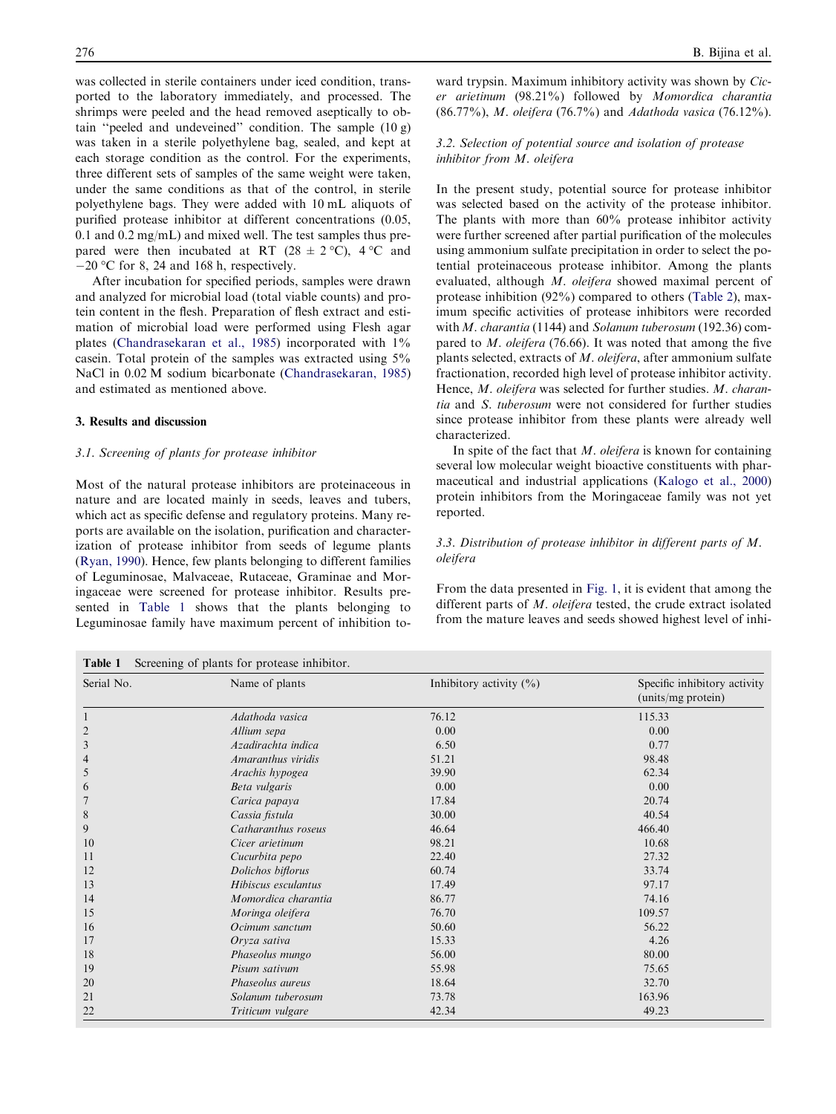was collected in sterile containers under iced condition, transported to the laboratory immediately, and processed. The shrimps were peeled and the head removed aseptically to obtain ''peeled and undeveined'' condition. The sample (10 g) was taken in a sterile polyethylene bag, sealed, and kept at each storage condition as the control. For the experiments, three different sets of samples of the same weight were taken, under the same conditions as that of the control, in sterile polyethylene bags. They were added with 10 mL aliquots of purified protease inhibitor at different concentrations (0.05, 0.1 and 0.2 mg/mL) and mixed well. The test samples thus prepared were then incubated at RT (28  $\pm$  2 °C), 4 °C and  $-20$  °C for 8, 24 and 168 h, respectively.

After incubation for specified periods, samples were drawn and analyzed for microbial load (total viable counts) and protein content in the flesh. Preparation of flesh extract and estimation of microbial load were performed using Flesh agar plates [\(Chandrasekaran et al., 1985\)](#page-7-0) incorporated with 1% casein. Total protein of the samples was extracted using 5% NaCl in 0.02 M sodium bicarbonate ([Chandrasekaran, 1985\)](#page-7-0) and estimated as mentioned above.

#### 3. Results and discussion

#### 3.1. Screening of plants for protease inhibitor

Most of the natural protease inhibitors are proteinaceous in nature and are located mainly in seeds, leaves and tubers, which act as specific defense and regulatory proteins. Many reports are available on the isolation, purification and characterization of protease inhibitor from seeds of legume plants ([Ryan, 1990](#page-8-0)). Hence, few plants belonging to different families of Leguminosae, Malvaceae, Rutaceae, Graminae and Moringaceae were screened for protease inhibitor. Results presented in Table 1 shows that the plants belonging to Leguminosae family have maximum percent of inhibition to-

ward trypsin. Maximum inhibitory activity was shown by Cicer arietinum (98.21%) followed by Momordica charantia (86.77%), M. oleifera (76.7%) and Adathoda vasica (76.12%).

# 3.2. Selection of potential source and isolation of protease inhibitor from M. oleifera

In the present study, potential source for protease inhibitor was selected based on the activity of the protease inhibitor. The plants with more than 60% protease inhibitor activity were further screened after partial purification of the molecules using ammonium sulfate precipitation in order to select the potential proteinaceous protease inhibitor. Among the plants evaluated, although M. oleifera showed maximal percent of protease inhibition (92%) compared to others [\(Table 2](#page-4-0)), maximum specific activities of protease inhibitors were recorded with *M. charantia* (1144) and *Solanum tuberosum* (192.36) compared to  $M$ . *oleifera* (76.66). It was noted that among the five plants selected, extracts of M. oleifera, after ammonium sulfate fractionation, recorded high level of protease inhibitor activity. Hence, M. oleifera was selected for further studies. M. charantia and S. tuberosum were not considered for further studies since protease inhibitor from these plants were already well characterized.

In spite of the fact that  $M$ . *oleifera* is known for containing several low molecular weight bioactive constituents with pharmaceutical and industrial applications ([Kalogo et al., 2000\)](#page-7-0) protein inhibitors from the Moringaceae family was not yet reported.

# 3.3. Distribution of protease inhibitor in different parts of M. oleifera

From the data presented in [Fig. 1](#page-4-0), it is evident that among the different parts of M. oleifera tested, the crude extract isolated from the mature leaves and seeds showed highest level of inhi-

Table 1 Screening of plants for protease inhibitor.

| Serial No.     | Name of plants      | Inhibitory activity $(\% )$ | Specific inhibitory activity<br>(units/mg protein) |
|----------------|---------------------|-----------------------------|----------------------------------------------------|
| 1              | Adathoda vasica     | 76.12                       | 115.33                                             |
| $\overline{c}$ | Allium sepa         | 0.00                        | 0.00                                               |
| 3              | Azadirachta indica  | 6.50                        | 0.77                                               |
| $\overline{4}$ | Amaranthus viridis  | 51.21                       | 98.48                                              |
| 5              | Arachis hypogea     | 39.90                       | 62.34                                              |
| 6              | Beta vulgaris       | 0.00                        | 0.00                                               |
| $\overline{7}$ | Carica papaya       | 17.84                       | 20.74                                              |
| $\,$ 8 $\,$    | Cassia fistula      | 30.00                       | 40.54                                              |
| 9              | Catharanthus roseus | 46.64                       | 466.40                                             |
| 10             | Cicer arietinum     | 98.21                       | 10.68                                              |
| 11             | Cucurbita pepo      | 22.40                       | 27.32                                              |
| 12             | Dolichos biflorus   | 60.74                       | 33.74                                              |
| 13             | Hibiscus esculantus | 17.49                       | 97.17                                              |
| 14             | Momordica charantia | 86.77                       | 74.16                                              |
| 15             | Moringa oleifera    | 76.70                       | 109.57                                             |
| 16             | Ocimum sanctum      | 50.60                       | 56.22                                              |
| 17             | Oryza sativa        | 15.33                       | 4.26                                               |
| 18             | Phaseolus mungo     | 56.00                       | 80.00                                              |
| 19             | Pisum sativum       | 55.98                       | 75.65                                              |
| 20             | Phaseolus aureus    | 18.64                       | 32.70                                              |
| 21             | Solanum tuberosum   | 73.78                       | 163.96                                             |
| 22             | Triticum vulgare    | 42.34                       | 49.23                                              |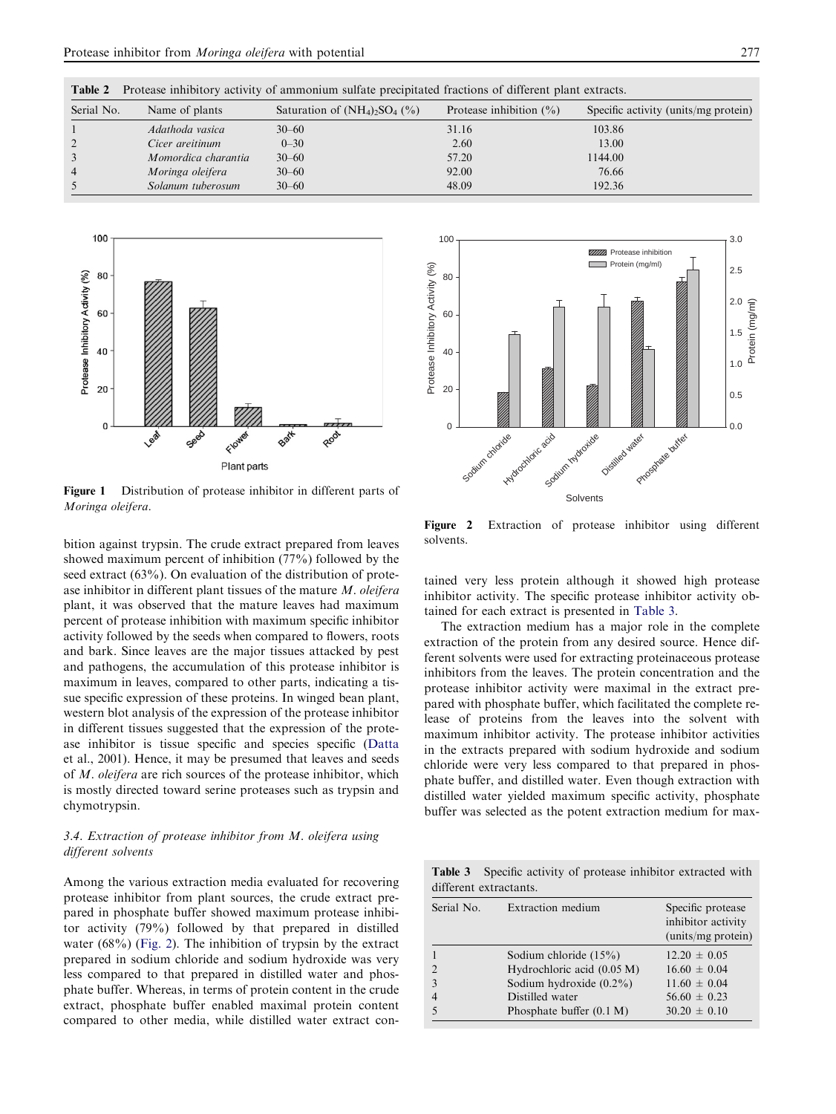<span id="page-4-0"></span>

|  |  |  |  |  |  | Table 2 Protease inhibitory activity of ammonium sulfate precipitated fractions of different plant extracts. |
|--|--|--|--|--|--|--------------------------------------------------------------------------------------------------------------|
|--|--|--|--|--|--|--------------------------------------------------------------------------------------------------------------|

| Serial No.     | Name of plants      | Saturation of $(NH_4)$ , $SO_4$ (%) | Protease inhibition $(\% )$ | Specific activity (units/mg protein) |
|----------------|---------------------|-------------------------------------|-----------------------------|--------------------------------------|
|                | Adathoda vasica     | $30 - 60$                           | 31.16                       | 103.86                               |
| 2              | Cicer areitinum     | $0 - 30$                            | 2.60                        | 13.00                                |
| 3              | Momordica charantia | $30 - 60$                           | 57.20                       | 1144.00                              |
| $\overline{4}$ | Moringa oleifera    | $30 - 60$                           | 92.00                       | 76.66                                |
|                | Solanum tuberosum   | $30 - 60$                           | 48.09                       | 192.36                               |



Figure 1 Distribution of protease inhibitor in different parts of Moringa oleifera.

bition against trypsin. The crude extract prepared from leaves showed maximum percent of inhibition (77%) followed by the seed extract (63%). On evaluation of the distribution of protease inhibitor in different plant tissues of the mature  $M$ . oleifera plant, it was observed that the mature leaves had maximum percent of protease inhibition with maximum specific inhibitor activity followed by the seeds when compared to flowers, roots and bark. Since leaves are the major tissues attacked by pest and pathogens, the accumulation of this protease inhibitor is maximum in leaves, compared to other parts, indicating a tissue specific expression of these proteins. In winged bean plant, western blot analysis of the expression of the protease inhibitor in different tissues suggested that the expression of the prote-ase inhibitor is tissue specific and species specific [\(Datta](#page-7-0) [et al., 2001\)](#page-7-0). Hence, it may be presumed that leaves and seeds of M. oleifera are rich sources of the protease inhibitor, which is mostly directed toward serine proteases such as trypsin and chymotrypsin.

# 3.4. Extraction of protease inhibitor from M. oleifera using different solvents

Among the various extraction media evaluated for recovering protease inhibitor from plant sources, the crude extract prepared in phosphate buffer showed maximum protease inhibitor activity (79%) followed by that prepared in distilled water (68%) (Fig. 2). The inhibition of trypsin by the extract prepared in sodium chloride and sodium hydroxide was very less compared to that prepared in distilled water and phosphate buffer. Whereas, in terms of protein content in the crude extract, phosphate buffer enabled maximal protein content compared to other media, while distilled water extract con-



Figure 2 Extraction of protease inhibitor using different solvents.

tained very less protein although it showed high protease inhibitor activity. The specific protease inhibitor activity obtained for each extract is presented in Table 3.

The extraction medium has a major role in the complete extraction of the protein from any desired source. Hence different solvents were used for extracting proteinaceous protease inhibitors from the leaves. The protein concentration and the protease inhibitor activity were maximal in the extract prepared with phosphate buffer, which facilitated the complete release of proteins from the leaves into the solvent with maximum inhibitor activity. The protease inhibitor activities in the extracts prepared with sodium hydroxide and sodium chloride were very less compared to that prepared in phosphate buffer, and distilled water. Even though extraction with distilled water yielded maximum specific activity, phosphate buffer was selected as the potent extraction medium for max-

Table 3 Specific activity of protease inhibitor extracted with different extractants.

| Serial No. | Extraction medium          | Specific protease<br>inhibitor activity<br>(units/mg protein) |
|------------|----------------------------|---------------------------------------------------------------|
|            | Sodium chloride $(15\%)$   | $12.20 \pm 0.05$                                              |
|            | Hydrochloric acid (0.05 M) | $16.60 \pm 0.04$                                              |
| 3          | Sodium hydroxide $(0.2\%)$ | $11.60 \pm 0.04$                                              |
|            | Distilled water            | $56.60 \pm 0.23$                                              |
|            | Phosphate buffer (0.1 M)   | $30.20 \pm 0.10$                                              |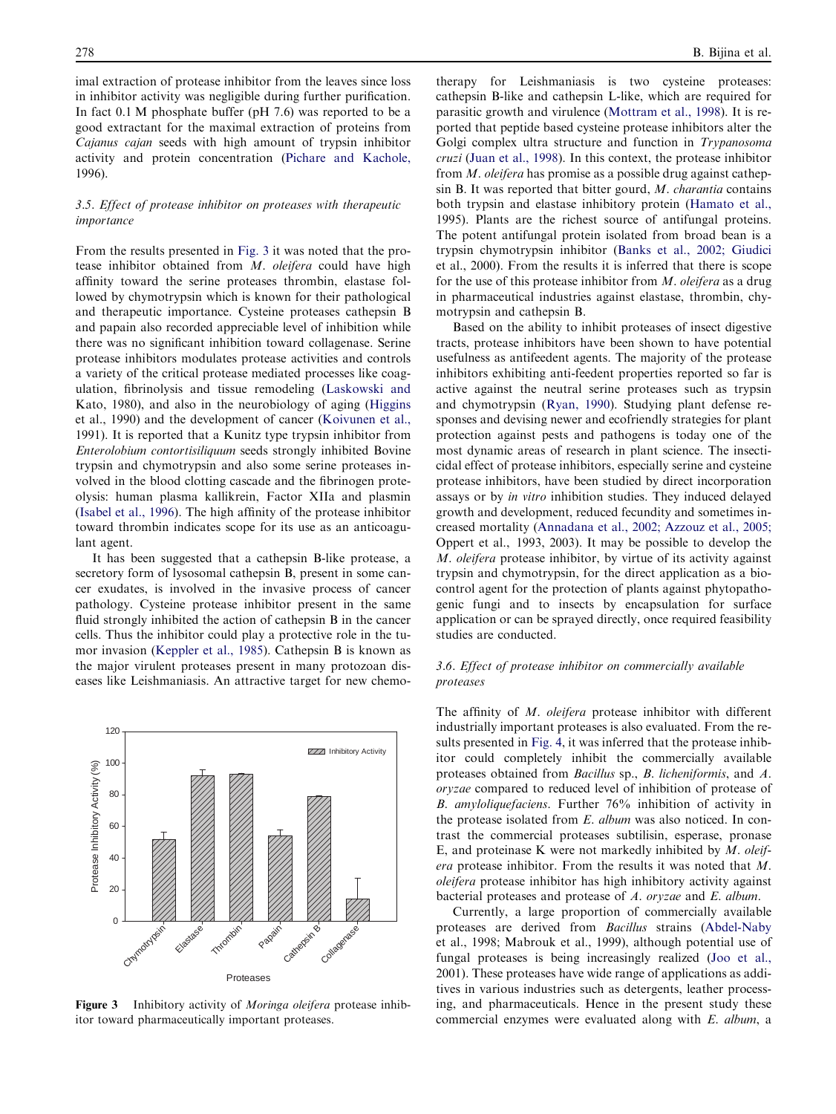imal extraction of protease inhibitor from the leaves since loss in inhibitor activity was negligible during further purification. In fact 0.1 M phosphate buffer (pH 7.6) was reported to be a good extractant for the maximal extraction of proteins from Cajanus cajan seeds with high amount of trypsin inhibitor activity and protein concentration ([Pichare and Kachole,](#page-8-0) [1996\)](#page-8-0).

# 3.5. Effect of protease inhibitor on proteases with therapeutic importance

From the results presented in Fig. 3 it was noted that the protease inhibitor obtained from M. oleifera could have high affinity toward the serine proteases thrombin, elastase followed by chymotrypsin which is known for their pathological and therapeutic importance. Cysteine proteases cathepsin B and papain also recorded appreciable level of inhibition while there was no significant inhibition toward collagenase. Serine protease inhibitors modulates protease activities and controls a variety of the critical protease mediated processes like coagulation, fibrinolysis and tissue remodeling [\(Laskowski and](#page-8-0) [Kato, 1980\)](#page-8-0), and also in the neurobiology of aging [\(Higgins](#page-7-0) [et al., 1990\)](#page-7-0) and the development of cancer ([Koivunen et al.,](#page-7-0) [1991\)](#page-7-0). It is reported that a Kunitz type trypsin inhibitor from Enterolobium contortisiliquum seeds strongly inhibited Bovine trypsin and chymotrypsin and also some serine proteases involved in the blood clotting cascade and the fibrinogen proteolysis: human plasma kallikrein, Factor XIIa and plasmin ([Isabel et al., 1996](#page-7-0)). The high affinity of the protease inhibitor toward thrombin indicates scope for its use as an anticoagulant agent.

It has been suggested that a cathepsin B-like protease, a secretory form of lysosomal cathepsin B, present in some cancer exudates, is involved in the invasive process of cancer pathology. Cysteine protease inhibitor present in the same fluid strongly inhibited the action of cathepsin B in the cancer cells. Thus the inhibitor could play a protective role in the tumor invasion ([Keppler et al., 1985\)](#page-7-0). Cathepsin B is known as the major virulent proteases present in many protozoan diseases like Leishmaniasis. An attractive target for new chemo-



Figure 3 Inhibitory activity of Moringa oleifera protease inhibitor toward pharmaceutically important proteases.

therapy for Leishmaniasis is two cysteine proteases: cathepsin B-like and cathepsin L-like, which are required for parasitic growth and virulence ([Mottram et al., 1998\)](#page-8-0). It is reported that peptide based cysteine protease inhibitors alter the Golgi complex ultra structure and function in Trypanosoma cruzi ([Juan et al., 1998\)](#page-7-0). In this context, the protease inhibitor from  $M$ . *oleifera* has promise as a possible drug against cathepsin B. It was reported that bitter gourd,  $M$ . *charantia* contains both trypsin and elastase inhibitory protein ([Hamato et al.,](#page-7-0) [1995\)](#page-7-0). Plants are the richest source of antifungal proteins. The potent antifungal protein isolated from broad bean is a trypsin chymotrypsin inhibitor [\(Banks et al., 2002; Giudici](#page-7-0) [et al., 2000](#page-7-0)). From the results it is inferred that there is scope for the use of this protease inhibitor from  $M$ . oleifera as a drug in pharmaceutical industries against elastase, thrombin, chymotrypsin and cathepsin B.

Based on the ability to inhibit proteases of insect digestive tracts, protease inhibitors have been shown to have potential usefulness as antifeedent agents. The majority of the protease inhibitors exhibiting anti-feedent properties reported so far is active against the neutral serine proteases such as trypsin and chymotrypsin [\(Ryan, 1990\)](#page-8-0). Studying plant defense responses and devising newer and ecofriendly strategies for plant protection against pests and pathogens is today one of the most dynamic areas of research in plant science. The insecticidal effect of protease inhibitors, especially serine and cysteine protease inhibitors, have been studied by direct incorporation assays or by in vitro inhibition studies. They induced delayed growth and development, reduced fecundity and sometimes increased mortality [\(Annadana et al., 2002; Azzouz et al., 2005;](#page-7-0) [Oppert et al., 1993, 2003\)](#page-7-0). It may be possible to develop the M. oleifera protease inhibitor, by virtue of its activity against trypsin and chymotrypsin, for the direct application as a biocontrol agent for the protection of plants against phytopathogenic fungi and to insects by encapsulation for surface application or can be sprayed directly, once required feasibility studies are conducted.

#### 3.6. Effect of protease inhibitor on commercially available proteases

The affinity of M. oleifera protease inhibitor with different industrially important proteases is also evaluated. From the results presented in [Fig. 4](#page-6-0), it was inferred that the protease inhibitor could completely inhibit the commercially available proteases obtained from Bacillus sp., B. licheniformis, and A. oryzae compared to reduced level of inhibition of protease of B. amyloliquefaciens. Further 76% inhibition of activity in the protease isolated from E. album was also noticed. In contrast the commercial proteases subtilisin, esperase, pronase E, and proteinase K were not markedly inhibited by  $M$ . *oleif*era protease inhibitor. From the results it was noted that M. oleifera protease inhibitor has high inhibitory activity against bacterial proteases and protease of A. oryzae and E. album.

Currently, a large proportion of commercially available proteases are derived from Bacillus strains [\(Abdel-Naby](#page-7-0) [et al., 1998; Mabrouk et al., 1999\)](#page-7-0), although potential use of fungal proteases is being increasingly realized ([Joo et al.,](#page-7-0) [2001\)](#page-7-0). These proteases have wide range of applications as additives in various industries such as detergents, leather processing, and pharmaceuticals. Hence in the present study these commercial enzymes were evaluated along with E. album, a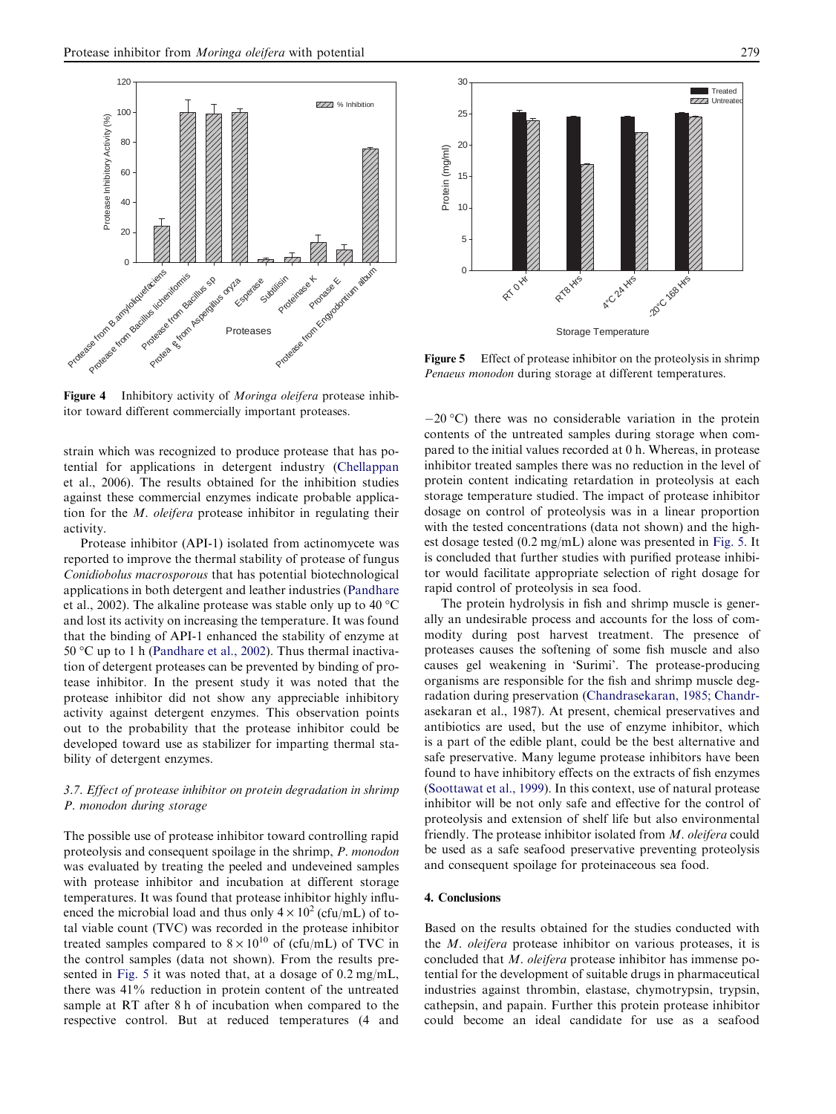<span id="page-6-0"></span>

Figure 4 Inhibitory activity of *Moringa oleifera* protease inhibitor toward different commercially important proteases.

strain which was recognized to produce protease that has potential for applications in detergent industry [\(Chellappan](#page-7-0) [et al., 2006](#page-7-0)). The results obtained for the inhibition studies against these commercial enzymes indicate probable application for the M. oleifera protease inhibitor in regulating their activity.

Protease inhibitor (API-1) isolated from actinomycete was reported to improve the thermal stability of protease of fungus Conidiobolus macrosporous that has potential biotechnological applications in both detergent and leather industries ([Pandhare](#page-8-0) [et al., 2002\)](#page-8-0). The alkaline protease was stable only up to 40  $^{\circ}$ C and lost its activity on increasing the temperature. It was found that the binding of API-1 enhanced the stability of enzyme at 50 °C up to 1 h ([Pandhare et al., 2002\)](#page-8-0). Thus thermal inactivation of detergent proteases can be prevented by binding of protease inhibitor. In the present study it was noted that the protease inhibitor did not show any appreciable inhibitory activity against detergent enzymes. This observation points out to the probability that the protease inhibitor could be developed toward use as stabilizer for imparting thermal stability of detergent enzymes.

# 3.7. Effect of protease inhibitor on protein degradation in shrimp P. monodon during storage

The possible use of protease inhibitor toward controlling rapid proteolysis and consequent spoilage in the shrimp, P. monodon was evaluated by treating the peeled and undeveined samples with protease inhibitor and incubation at different storage temperatures. It was found that protease inhibitor highly influenced the microbial load and thus only  $4 \times 10^2$  (cfu/mL) of total viable count (TVC) was recorded in the protease inhibitor treated samples compared to  $8 \times 10^{10}$  of (cfu/mL) of TVC in the control samples (data not shown). From the results presented in Fig. 5 it was noted that, at a dosage of 0.2 mg/mL, there was 41% reduction in protein content of the untreated sample at RT after 8 h of incubation when compared to the respective control. But at reduced temperatures (4 and



Storage Temperature

Figure 5 Effect of protease inhibitor on the proteolysis in shrimp Penaeus monodon during storage at different temperatures.

 $-20$  °C) there was no considerable variation in the protein contents of the untreated samples during storage when compared to the initial values recorded at 0 h. Whereas, in protease inhibitor treated samples there was no reduction in the level of protein content indicating retardation in proteolysis at each storage temperature studied. The impact of protease inhibitor dosage on control of proteolysis was in a linear proportion with the tested concentrations (data not shown) and the highest dosage tested (0.2 mg/mL) alone was presented in Fig. 5. It is concluded that further studies with purified protease inhibitor would facilitate appropriate selection of right dosage for rapid control of proteolysis in sea food.

The protein hydrolysis in fish and shrimp muscle is generally an undesirable process and accounts for the loss of commodity during post harvest treatment. The presence of proteases causes the softening of some fish muscle and also causes gel weakening in 'Surimi'. The protease-producing organisms are responsible for the fish and shrimp muscle degradation during preservation [\(Chandrasekaran, 1985; Chandr](#page-7-0)[asekaran et al., 1987\)](#page-7-0). At present, chemical preservatives and antibiotics are used, but the use of enzyme inhibitor, which is a part of the edible plant, could be the best alternative and safe preservative. Many legume protease inhibitors have been found to have inhibitory effects on the extracts of fish enzymes [\(Soottawat et al., 1999\)](#page-8-0). In this context, use of natural protease inhibitor will be not only safe and effective for the control of proteolysis and extension of shelf life but also environmental friendly. The protease inhibitor isolated from M. oleifera could be used as a safe seafood preservative preventing proteolysis and consequent spoilage for proteinaceous sea food.

#### 4. Conclusions

Based on the results obtained for the studies conducted with the M. oleifera protease inhibitor on various proteases, it is concluded that M. oleifera protease inhibitor has immense potential for the development of suitable drugs in pharmaceutical industries against thrombin, elastase, chymotrypsin, trypsin, cathepsin, and papain. Further this protein protease inhibitor could become an ideal candidate for use as a seafood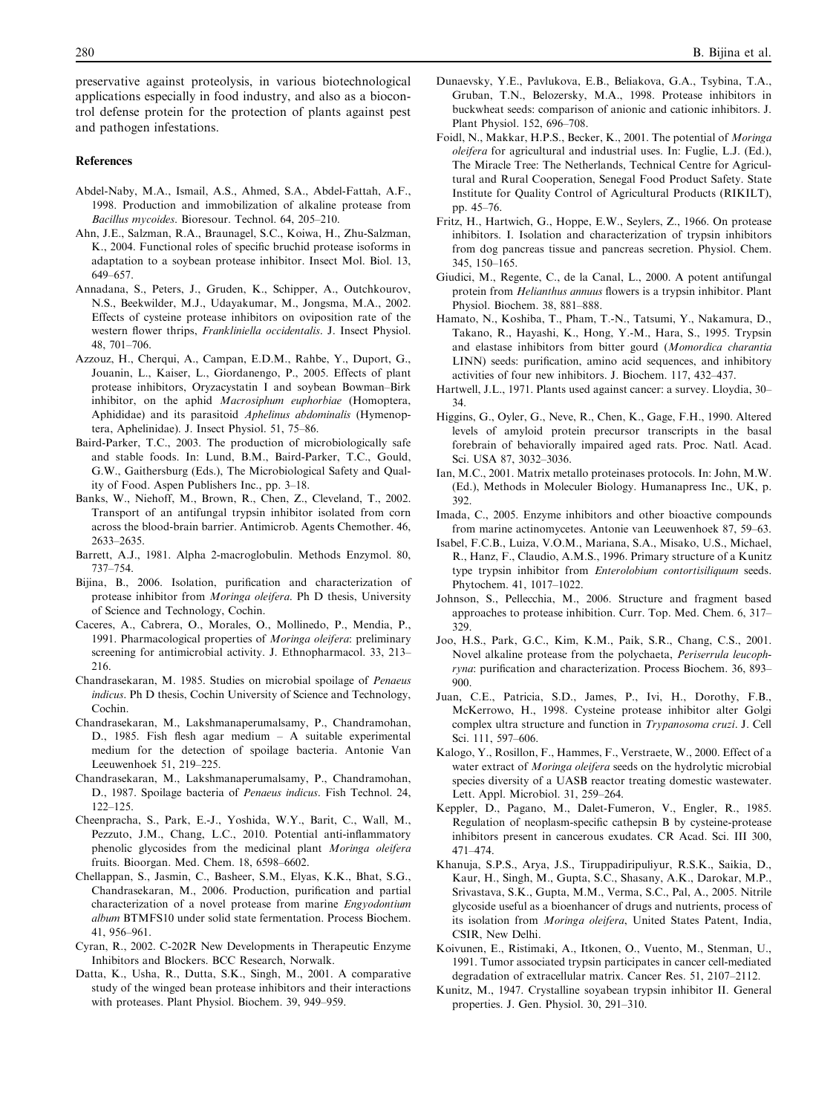<span id="page-7-0"></span>preservative against proteolysis, in various biotechnological applications especially in food industry, and also as a biocontrol defense protein for the protection of plants against pest and pathogen infestations.

#### References

- Abdel-Naby, M.A., Ismail, A.S., Ahmed, S.A., Abdel-Fattah, A.F., 1998. Production and immobilization of alkaline protease from Bacillus mycoides. Bioresour. Technol. 64, 205–210.
- Ahn, J.E., Salzman, R.A., Braunagel, S.C., Koiwa, H., Zhu-Salzman, K., 2004. Functional roles of specific bruchid protease isoforms in adaptation to a soybean protease inhibitor. Insect Mol. Biol. 13, 649–657.
- Annadana, S., Peters, J., Gruden, K., Schipper, A., Outchkourov, N.S., Beekwilder, M.J., Udayakumar, M., Jongsma, M.A., 2002. Effects of cysteine protease inhibitors on oviposition rate of the western flower thrips, Frankliniella occidentalis. J. Insect Physiol. 48, 701–706.
- Azzouz, H., Cherqui, A., Campan, E.D.M., Rahbe, Y., Duport, G., Jouanin, L., Kaiser, L., Giordanengo, P., 2005. Effects of plant protease inhibitors, Oryzacystatin I and soybean Bowman–Birk inhibitor, on the aphid Macrosiphum euphorbiae (Homoptera, Aphididae) and its parasitoid Aphelinus abdominalis (Hymenoptera, Aphelinidae). J. Insect Physiol. 51, 75–86.
- Baird-Parker, T.C., 2003. The production of microbiologically safe and stable foods. In: Lund, B.M., Baird-Parker, T.C., Gould, G.W., Gaithersburg (Eds.), The Microbiological Safety and Quality of Food. Aspen Publishers Inc., pp. 3–18.
- Banks, W., Niehoff, M., Brown, R., Chen, Z., Cleveland, T., 2002. Transport of an antifungal trypsin inhibitor isolated from corn across the blood-brain barrier. Antimicrob. Agents Chemother. 46, 2633–2635.
- Barrett, A.J., 1981. Alpha 2-macroglobulin. Methods Enzymol. 80, 737–754.
- Bijina, B., 2006. Isolation, purification and characterization of protease inhibitor from Moringa oleifera. Ph D thesis, University of Science and Technology, Cochin.
- Caceres, A., Cabrera, O., Morales, O., Mollinedo, P., Mendia, P., 1991. Pharmacological properties of Moringa oleifera: preliminary screening for antimicrobial activity. J. Ethnopharmacol. 33, 213– 216.
- Chandrasekaran, M. 1985. Studies on microbial spoilage of Penaeus indicus. Ph D thesis, Cochin University of Science and Technology, Cochin.
- Chandrasekaran, M., Lakshmanaperumalsamy, P., Chandramohan, D., 1985. Fish flesh agar medium – A suitable experimental medium for the detection of spoilage bacteria. Antonie Van Leeuwenhoek 51, 219–225.
- Chandrasekaran, M., Lakshmanaperumalsamy, P., Chandramohan, D., 1987. Spoilage bacteria of Penaeus indicus. Fish Technol. 24, 122–125.
- Cheenpracha, S., Park, E.-J., Yoshida, W.Y., Barit, C., Wall, M., Pezzuto, J.M., Chang, L.C., 2010. Potential anti-inflammatory phenolic glycosides from the medicinal plant Moringa oleifera fruits. Bioorgan. Med. Chem. 18, 6598–6602.
- Chellappan, S., Jasmin, C., Basheer, S.M., Elyas, K.K., Bhat, S.G., Chandrasekaran, M., 2006. Production, purification and partial characterization of a novel protease from marine Engyodontium album BTMFS10 under solid state fermentation. Process Biochem. 41, 956–961.
- Cyran, R., 2002. C-202R New Developments in Therapeutic Enzyme Inhibitors and Blockers. BCC Research, Norwalk.
- Datta, K., Usha, R., Dutta, S.K., Singh, M., 2001. A comparative study of the winged bean protease inhibitors and their interactions with proteases. Plant Physiol. Biochem. 39, 949–959.
- Dunaevsky, Y.E., Pavlukova, E.B., Beliakova, G.A., Tsybina, T.A., Gruban, T.N., Belozersky, M.A., 1998. Protease inhibitors in buckwheat seeds: comparison of anionic and cationic inhibitors. J. Plant Physiol. 152, 696–708.
- Foidl, N., Makkar, H.P.S., Becker, K., 2001. The potential of Moringa oleifera for agricultural and industrial uses. In: Fuglie, L.J. (Ed.), The Miracle Tree: The Netherlands, Technical Centre for Agricultural and Rural Cooperation, Senegal Food Product Safety. State Institute for Quality Control of Agricultural Products (RIKILT), pp. 45–76.
- Fritz, H., Hartwich, G., Hoppe, E.W., Seylers, Z., 1966. On protease inhibitors. I. Isolation and characterization of trypsin inhibitors from dog pancreas tissue and pancreas secretion. Physiol. Chem. 345, 150–165.
- Giudici, M., Regente, C., de la Canal, L., 2000. A potent antifungal protein from Helianthus annuus flowers is a trypsin inhibitor. Plant Physiol. Biochem. 38, 881–888.
- Hamato, N., Koshiba, T., Pham, T.-N., Tatsumi, Y., Nakamura, D., Takano, R., Hayashi, K., Hong, Y.-M., Hara, S., 1995. Trypsin and elastase inhibitors from bitter gourd (Momordica charantia LINN) seeds: purification, amino acid sequences, and inhibitory activities of four new inhibitors. J. Biochem. 117, 432–437.
- Hartwell, J.L., 1971. Plants used against cancer: a survey. Lloydia, 30– 34.
- Higgins, G., Oyler, G., Neve, R., Chen, K., Gage, F.H., 1990. Altered levels of amyloid protein precursor transcripts in the basal forebrain of behaviorally impaired aged rats. Proc. Natl. Acad. Sci. USA 87, 3032–3036.
- Ian, M.C., 2001. Matrix metallo proteinases protocols. In: John, M.W. (Ed.), Methods in Moleculer Biology. Humanapress Inc., UK, p. 392.
- Imada, C., 2005. Enzyme inhibitors and other bioactive compounds from marine actinomycetes. Antonie van Leeuwenhoek 87, 59–63.
- Isabel, F.C.B., Luiza, V.O.M., Mariana, S.A., Misako, U.S., Michael, R., Hanz, F., Claudio, A.M.S., 1996. Primary structure of a Kunitz type trypsin inhibitor from Enterolobium contortisiliquum seeds. Phytochem. 41, 1017–1022.
- Johnson, S., Pellecchia, M., 2006. Structure and fragment based approaches to protease inhibition. Curr. Top. Med. Chem. 6, 317– 329.
- Joo, H.S., Park, G.C., Kim, K.M., Paik, S.R., Chang, C.S., 2001. Novel alkaline protease from the polychaeta, Periserrula leucophryna: purification and characterization. Process Biochem. 36, 893– 900.
- Juan, C.E., Patricia, S.D., James, P., Ivi, H., Dorothy, F.B., McKerrowo, H., 1998. Cysteine protease inhibitor alter Golgi complex ultra structure and function in Trypanosoma cruzi. J. Cell Sci. 111, 597–606.
- Kalogo, Y., Rosillon, F., Hammes, F., Verstraete, W., 2000. Effect of a water extract of Moringa oleifera seeds on the hydrolytic microbial species diversity of a UASB reactor treating domestic wastewater. Lett. Appl. Microbiol. 31, 259–264.
- Keppler, D., Pagano, M., Dalet-Fumeron, V., Engler, R., 1985. Regulation of neoplasm-specific cathepsin B by cysteine-protease inhibitors present in cancerous exudates. CR Acad. Sci. III 300, 471–474.
- Khanuja, S.P.S., Arya, J.S., Tiruppadiripuliyur, R.S.K., Saikia, D., Kaur, H., Singh, M., Gupta, S.C., Shasany, A.K., Darokar, M.P., Srivastava, S.K., Gupta, M.M., Verma, S.C., Pal, A., 2005. Nitrile glycoside useful as a bioenhancer of drugs and nutrients, process of its isolation from Moringa oleifera, United States Patent, India, CSIR, New Delhi.
- Koivunen, E., Ristimaki, A., Itkonen, O., Vuento, M., Stenman, U., 1991. Tumor associated trypsin participates in cancer cell-mediated degradation of extracellular matrix. Cancer Res. 51, 2107–2112.
- Kunitz, M., 1947. Crystalline soyabean trypsin inhibitor II. General properties. J. Gen. Physiol. 30, 291–310.